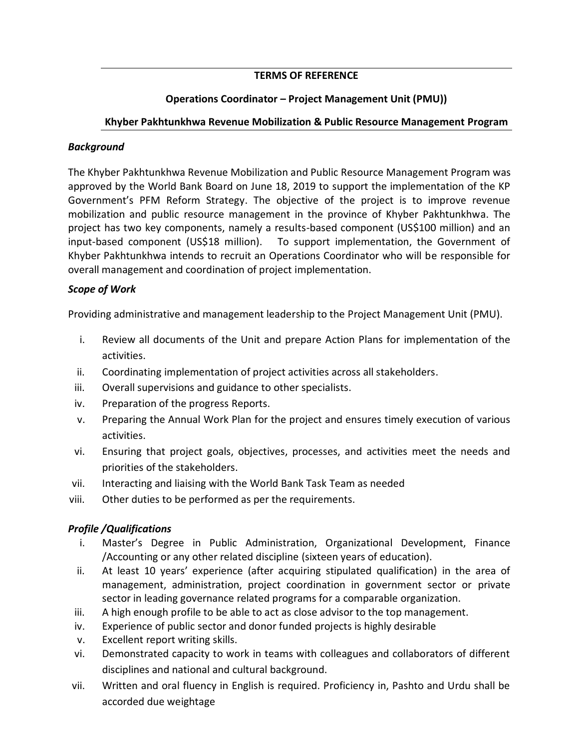# **TERMS OF REFERENCE**

# **Operations Coordinator – Project Management Unit (PMU))**

# **Khyber Pakhtunkhwa Revenue Mobilization & Public Resource Management Program**

### *Background*

The Khyber Pakhtunkhwa Revenue Mobilization and Public Resource Management Program was approved by the World Bank Board on June 18, 2019 to support the implementation of the KP Government's PFM Reform Strategy. The objective of the project is to improve revenue mobilization and public resource management in the province of Khyber Pakhtunkhwa. The project has two key components, namely a results-based component (US\$100 million) and an input-based component (US\$18 million). To support implementation, the Government of Khyber Pakhtunkhwa intends to recruit an Operations Coordinator who will be responsible for overall management and coordination of project implementation.

### *Scope of Work*

Providing administrative and management leadership to the Project Management Unit (PMU).

- i. Review all documents of the Unit and prepare Action Plans for implementation of the activities.
- ii. Coordinating implementation of project activities across all stakeholders.
- iii. Overall supervisions and guidance to other specialists.
- iv. Preparation of the progress Reports.
- v. Preparing the Annual Work Plan for the project and ensures timely execution of various activities.
- vi. Ensuring that project goals, objectives, processes, and activities meet the needs and priorities of the stakeholders.
- vii. Interacting and liaising with the World Bank Task Team as needed
- viii. Other duties to be performed as per the requirements.

# *Profile /Qualifications*

- i. Master's Degree in Public Administration, Organizational Development, Finance /Accounting or any other related discipline (sixteen years of education).
- ii. At least 10 years' experience (after acquiring stipulated qualification) in the area of management, administration, project coordination in government sector or private sector in leading governance related programs for a comparable organization.
- iii. A high enough profile to be able to act as close advisor to the top management.
- iv. Experience of public sector and donor funded projects is highly desirable
- v. Excellent report writing skills.
- vi. Demonstrated capacity to work in teams with colleagues and collaborators of different disciplines and national and cultural background.
- vii. Written and oral fluency in English is required. Proficiency in, Pashto and Urdu shall be accorded due weightage